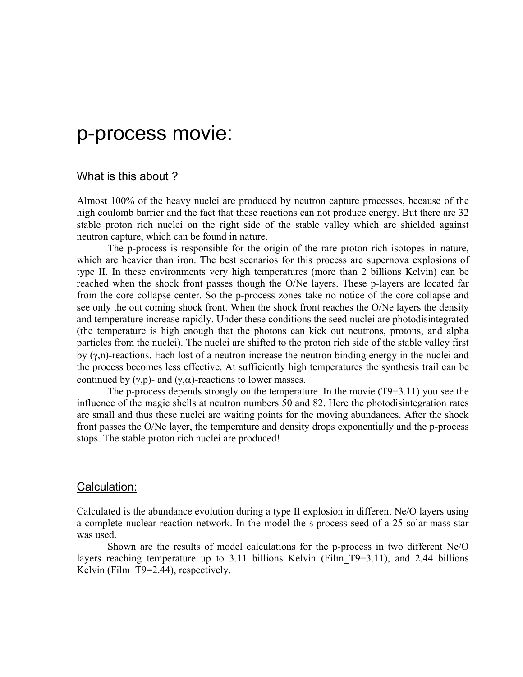# p-process movie:

### What is this about ?

Almost 100% of the heavy nuclei are produced by neutron capture processes, because of the high coulomb barrier and the fact that these reactions can not produce energy. But there are 32 stable proton rich nuclei on the right side of the stable valley which are shielded against neutron capture, which can be found in nature.

The p-process is responsible for the origin of the rare proton rich isotopes in nature, which are heavier than iron. The best scenarios for this process are supernova explosions of type II. In these environments very high temperatures (more than 2 billions Kelvin) can be reached when the shock front passes though the O/Ne layers. These p-layers are located far from the core collapse center. So the p-process zones take no notice of the core collapse and see only the out coming shock front. When the shock front reaches the O/Ne layers the density and temperature increase rapidly. Under these conditions the seed nuclei are photodisintegrated (the temperature is high enough that the photons can kick out neutrons, protons, and alpha particles from the nuclei). The nuclei are shifted to the proton rich side of the stable valley first by (γ,n)-reactions. Each lost of a neutron increase the neutron binding energy in the nuclei and the process becomes less effective. At sufficiently high temperatures the synthesis trail can be continued by (γ,p)- and (γ,α)-reactions to lower masses.

The p-process depends strongly on the temperature. In the movie (T9=3.11) you see the influence of the magic shells at neutron numbers 50 and 82. Here the photodisintegration rates are small and thus these nuclei are waiting points for the moving abundances. After the shock front passes the O/Ne layer, the temperature and density drops exponentially and the p-process stops. The stable proton rich nuclei are produced!

#### Calculation:

Calculated is the abundance evolution during a type II explosion in different Ne/O layers using a complete nuclear reaction network. In the model the s-process seed of a 25 solar mass star was used.

Shown are the results of model calculations for the p-process in two different Ne/O layers reaching temperature up to 3.11 billions Kelvin (Film T9=3.11), and 2.44 billions Kelvin (Film T9=2.44), respectively.